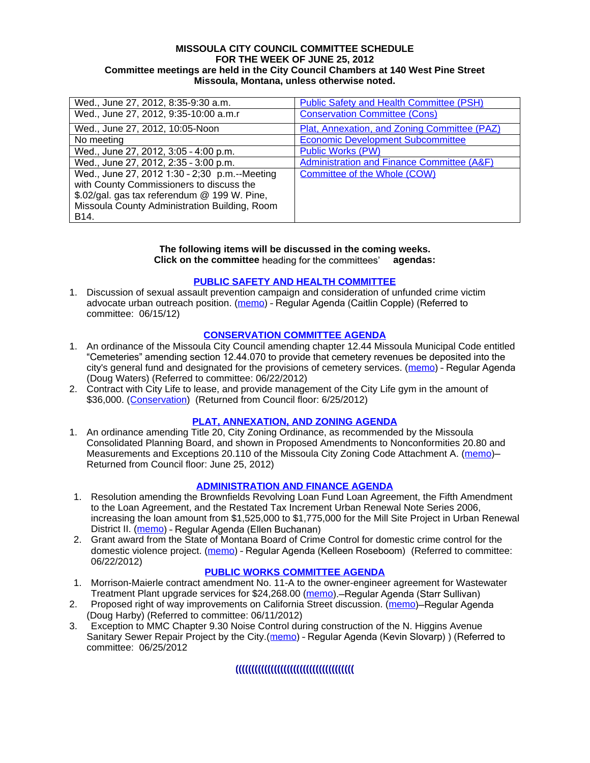#### **MISSOULA CITY COUNCIL COMMITTEE SCHEDULE FOR THE WEEK OF JUNE 25, 2012 Committee meetings are held in the City Council Chambers at 140 West Pine Street Missoula, Montana, unless otherwise noted.**

| Wed., June 27, 2012, 8:35-9:30 a.m.           | <b>Public Safety and Health Committee (PSH)</b>       |
|-----------------------------------------------|-------------------------------------------------------|
| Wed., June 27, 2012, 9:35-10:00 a.m.r         | <b>Conservation Committee (Cons)</b>                  |
| Wed., June 27, 2012, 10:05-Noon               | Plat, Annexation, and Zoning Committee (PAZ)          |
| No meeting                                    | <b>Economic Development Subcommittee</b>              |
| Wed., June 27, 2012, 3:05 - 4:00 p.m.         | <b>Public Works (PW)</b>                              |
| Wed., June 27, 2012, 2:35 - 3:00 p.m.         | <b>Administration and Finance Committee (A&amp;F)</b> |
| Wed., June 27, 2012 1:30 - 2;30 p.m.--Meeting | <b>Committee of the Whole (COW)</b>                   |
| with County Commissioners to discuss the      |                                                       |
| \$.02/gal. gas tax referendum @ 199 W. Pine,  |                                                       |
| Missoula County Administration Building, Room |                                                       |
| B <sub>14</sub> .                             |                                                       |

# **The following items will be discussed in the coming weeks.**

**Click on the committee** heading for the committees' **agendas:**

## **[PUBLIC SAFETY AND HEALTH COMMITTEE](http://www.ci.missoula.mt.us/DocumentCenterii.aspx?FID=836)**

1. Discussion of sexual assault prevention campaign and consideration of unfunded crime victim advocate urban outreach position. ([memo](http://www.ci.missoula.mt.us/DocumentCenter/Home/View/20189)) – Regular Agenda (Caitlin Copple) (Referred to committee: 06/15/12)

## **[CONSERVATION COMMITTEE AGENDA](http://www.ci.missoula.mt.us/DocumentCenterii.aspx?FID=832)**

- 1. An ordinance of the Missoula City Council amending chapter 12.44 Missoula Municipal Code entitled "Cemeteries" amending section 12.44.070 to provide that cemetery revenues be deposited into the city's general fund and designated for the provisions of cemetery services. ([memo\)](http://www.ci.missoula.mt.us/DocumentCenter/Home/View/20277) – Regular Agenda (Doug Waters) (Referred to committee: 06/22/2012)
- 2. Contract with City Life to lease, and provide management of the City Life gym in the amount of \$36,000. [\(Conservation\)](http://www.ci.missoula.mt.us/Archive.aspx?ADID=5704) (Returned from Council floor: 6/25/2012)

## **[PLAT, ANNEXATION, AND ZONING AGENDA](http://www.ci.missoula.mt.us/DocumentCenterii.aspx?FID=831)**

1. An ordinance amending Title 20, City Zoning Ordinance, as recommended by the Missoula Consolidated Planning Board, and shown in Proposed Amendments to Nonconformities 20.80 and Measurements and Exceptions 20.110 of the Missoula City Zoning Code Attachment A. [\(memo](http://www.ci.missoula.mt.us/DocumentCenter/Home/View/19667))-Returned from Council floor: June 25, 2012)

#### **[ADMINISTRATION AND FINANCE AGENDA](http://www.ci.missoula.mt.us/DocumentCenterii.aspx?FID=830)**

- 1. Resolution amending the Brownfields Revolving Loan Fund Loan Agreement, the Fifth Amendment to the Loan Agreement, and the Restated Tax Increment Urban Renewal Note Series 2006, increasing the loan amount from \$1,525,000 to \$1,775,000 for the Mill Site Project in Urban Renewal District II. [\(memo](http://www.ci.missoula.mt.us/DocumentCenter/Home/View/20187)) – Regular Agenda (Ellen Buchanan)
- 2. Grant award from the State of Montana Board of Crime Control for domestic crime control for the domestic violence project. ([memo](http://www.ci.missoula.mt.us/DocumentCenter/Home/View/20280)) - Regular Agenda (Kelleen Roseboom) (Referred to committee: 06/22/2012)

#### **[PUBLIC WORKS COMMITTEE AGENDA](http://www.ci.missoula.mt.us/DocumentCenterii.aspx?FID=833)**

- 1. Morrison-Maierle contract amendment No. 11-A to the owner-engineer agreement for Wastewater Treatment Plant upgrade services for \$24,268.00 ([memo](http://www.ci.missoula.mt.us/DocumentCenter/Home/View/20181)). - Regular Agenda (Starr Sullivan)
- 2. Proposed right of way improvements on California Street discussion. ([memo](http://www.ci.missoula.mt.us/DocumentCenter/Home/View/20056))-Regular Agenda (Doug Harby) (Referred to committee: 06/11/2012)
- 3. Exception to MMC Chapter 9.30 Noise Control during construction of the N. Higgins Avenue Sanitary Sewer Repair Project by the City. [\(memo](http://www.ci.missoula.mt.us/DocumentCenter/Home/View/20285)) - Regular Agenda (Kevin Slovarp)) (Referred to committee: 06/25/2012

## **(((((((((((((((((((((((((((((((((((((**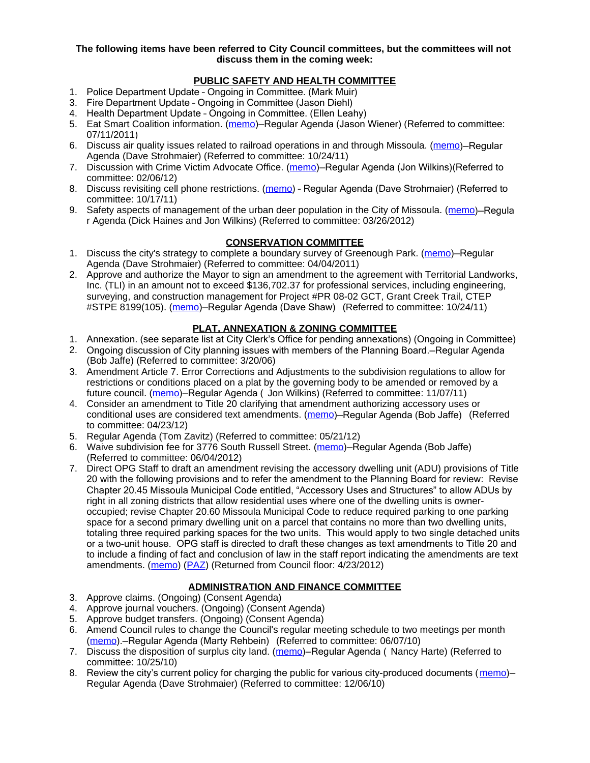**The following items have been referred to City Council committees, but the committees will not discuss them in the coming week:**

## **PUBLIC SAFETY AND HEALTH COMMITTEE**

- 1. Police Department Update Ongoing in Committee. (Mark Muir)
- 3. Fire Department Update Ongoing in Committee (Jason Diehl)
- 4. Health Department Update Ongoing in Committee. (Ellen Leahy)
- 5. Eat Smart Coalition information. [\(memo](http://www.ci.missoula.mt.us/DocumentView.aspx?DID=6776))-Regular Agenda (Jason Wiener) (Referred to committee: 07/11/2011)
- 6. Discuss air quality issues related to railroad operations in and through Missoula. ([memo](http://www.ci.missoula.mt.us/DocumentView.aspx?DID=7495))—Regular Agenda (Dave Strohmaier) (Referred to committee: 10/24/11)
- 7. Discussion with Crime Victim Advocate Office. ([memo](http://www.ci.missoula.mt.us/DocumentView.aspx?DID=8109))–Regular Agenda (Jon Wilkins) (Referred to committee: 02/06/12)
- 8. Discuss revisiting cell phone restrictions. ([memo](http://www.ci.missoula.mt.us/DocumentView.aspx?DID=7420)) Regular Agenda (Dave Strohmaier) (Referred to committee: 10/17/11)
- 9. Safety aspects of management of the urban deer population in the City of Missoula. [\(memo](http://www.ci.missoula.mt.us/DocumentView.aspx?DID=8528))–Regula r Agenda (Dick Haines and Jon Wilkins) (Referred to committee: 03/26/2012)

#### **CONSERVATION COMMITTEE**

- 1. Discuss the city's strategy to complete a boundary survey of Greenough Park. [\(memo](http://www.ci.missoula.mt.us/DocumentView.aspx?DID=5875))-Regular Agenda (Dave Strohmaier) (Referred to committee: 04/04/2011)
- 2. Approve and authorize the Mayor to sign an amendment to the agreement with Territorial Landworks, Inc. (TLI) in an amount not to exceed \$136,702.37 for professional services, including engineering, surveying, and construction management for Project #PR 08-02 GCT, Grant Creek Trail, CTEP #STPE 8199(105). ([memo](http://www.ci.missoula.mt.us/DocumentView.aspx?DID=7494))–Regular Agenda (Dave Shaw) (Referred to committee: 10/24/11)

## **PLAT, ANNEXATION & ZONING COMMITTEE**

- 1. Annexation. (see separate list at City Clerk's Office for pending annexations) (Ongoing in Committee)
- 2. Ongoing discussion of City planning issues with members of the Planning Board.—Regular Agenda (Bob Jaffe) (Referred to committee: 3/20/06)
- 3. Amendment Article 7. Error Corrections and Adjustments to the subdivision regulations to allow for restrictions or conditions placed on a plat by the governing body to be amended or removed by a future council. [\(memo](http://www.ci.missoula.mt.us/DocumentView.aspx?DID=7568))—Regular Agenda ( Jon Wilkins) (Referred to committee: 11/07/11)
- 4. Consider an amendment to Title 20 clarifying that amendment authorizing accessory uses or conditional uses are considered text amendments. [\(memo](http://www.ci.missoula.mt.us/DocumentCenter/Home/View/19059))-Regular Agenda (Bob Jaffe) (Referred to committee: 04/23/12)
- 5. Regular Agenda (Tom Zavitz) (Referred to committee: 05/21/12)
- 6. Waive subdivision fee for 3776 South Russell Street. [\(memo](http://www.ci.missoula.mt.us/DocumentCenter/Home/View/19827))—Regular Agenda (Bob Jaffe) (Referred to committee: 06/04/2012)
- 7. Direct OPG Staff to draft an amendment revising the accessory dwelling unit (ADU) provisions of Title 20 with the following provisions and to refer the amendment to the Planning Board for review: Revise Chapter 20.45 Missoula Municipal Code entitled, "Accessory Uses and Structures" to allow ADUs by right in all zoning districts that allow residential uses where one of the dwelling units is owneroccupied; revise Chapter 20.60 Missoula Municipal Code to reduce required parking to one parking space for a second primary dwelling unit on a parcel that contains no more than two dwelling units, totaling three required parking spaces for the two units. This would apply to two single detached units or a two-unit house. OPG staff is directed to draft these changes as text amendments to Title 20 and to include a finding of fact and conclusion of law in the staff report indicating the amendments are text amendments. ([memo](http://www.ci.missoula.mt.us/DocumentView.aspx?DID=8421)) ([PAZ](http://www.ci.missoula.mt.us/Archive.aspx?ADID=5370)) (Returned from Council floor: 4/23/2012)

#### **ADMINISTRATION AND FINANCE COMMITTEE**

- 3. Approve claims. (Ongoing) (Consent Agenda)
- 4. Approve journal vouchers. (Ongoing) (Consent Agenda)
- 5. Approve budget transfers. (Ongoing) (Consent Agenda)
- 6. Amend Council rules to change the Council's regular meeting schedule to two meetings per month [\(memo](http://www.ci.missoula.mt.us/DocumentView.aspx?DID=4027)).—Regular Agenda (Marty Rehbein) (Referred to committee: 06/07/10)
- 7. Discuss the disposition of surplus city land. [\(memo](http://www.ci.missoula.mt.us/DocumentView.aspx?DID=4862))–Regular Agenda (Nancy Harte) (Referred to committee: 10/25/10)
- 8. Review the city's current policy for charging the public for various city-produced documents ([memo](http://www.ci.missoula.mt.us/DocumentView.aspx?DID=5143))-Regular Agenda (Dave Strohmaier) (Referred to committee: 12/06/10)